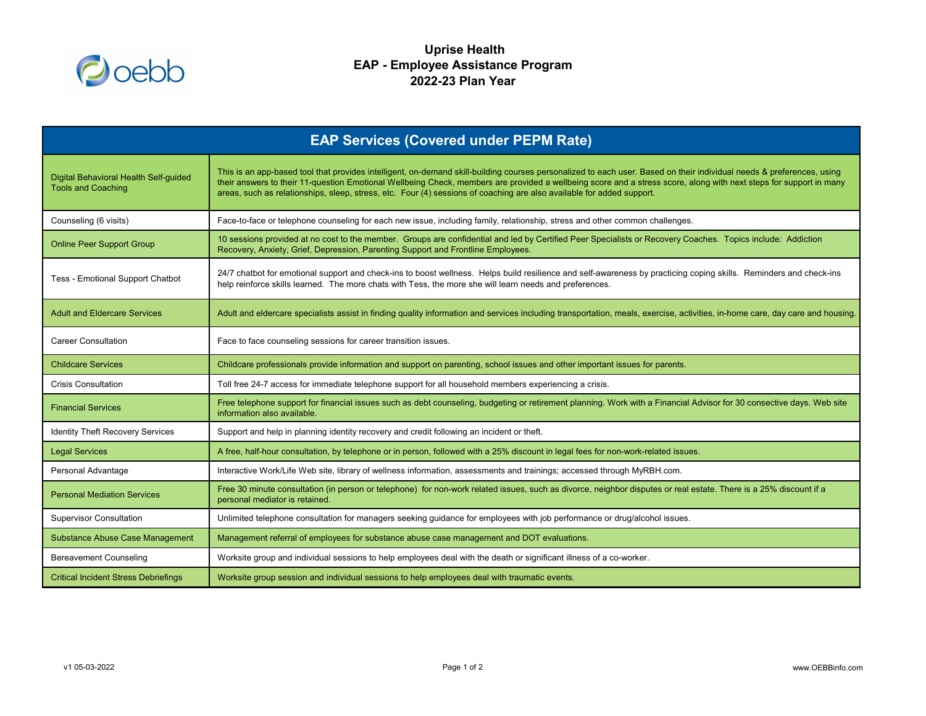

## **Uprise Health EAP - Employee Assistance Program 2022-23 Plan Year**



| <b>EAP Services (Covered under PEPM Rate)</b>                      |                                                                                                                                                                                                                                                                                                                                                                                                                                                                |  |
|--------------------------------------------------------------------|----------------------------------------------------------------------------------------------------------------------------------------------------------------------------------------------------------------------------------------------------------------------------------------------------------------------------------------------------------------------------------------------------------------------------------------------------------------|--|
| Digital Behavioral Health Self-guided<br><b>Tools and Coaching</b> | This is an app-based tool that provides intelligent, on-demand skill-building courses personalized to each user. Based on their individual needs & preferences, us<br>their answers to their 11-question Emotional Wellbeing Check, members are provided a wellbeing score and a stress score, along with next steps for support in r<br>areas, such as relationships, sleep, stress, etc. Four (4) sessions of coaching are also available for added support. |  |
| Counseling (6 visits)                                              | Face-to-face or telephone counseling for each new issue, including family, relationship, stress and other common challenges.                                                                                                                                                                                                                                                                                                                                   |  |
| <b>Online Peer Support Group</b>                                   | 10 sessions provided at no cost to the member. Groups are confidential and led by Certified Peer Specialists or Recovery Coaches. Topics include: Addiction<br>Recovery, Anxiety, Grief, Depression, Parenting Support and Frontline Employees.                                                                                                                                                                                                                |  |
| <b>Tess - Emotional Support Chatbot</b>                            | 24/7 chatbot for emotional support and check-ins to boost wellness. Helps build resilience and self-awareness by practicing coping skills. Reminders and check<br>help reinforce skills learned. The more chats with Tess, the more she will learn needs and preferences.                                                                                                                                                                                      |  |
| <b>Adult and Eldercare Services</b>                                | Adult and eldercare specialists assist in finding quality information and services including transportation, meals, exercise, activities, in-home care, day care and h                                                                                                                                                                                                                                                                                         |  |
| <b>Career Consultation</b>                                         | Face to face counseling sessions for career transition issues.                                                                                                                                                                                                                                                                                                                                                                                                 |  |
| <b>Childcare Services</b>                                          | Childcare professionals provide information and support on parenting, school issues and other important issues for parents.                                                                                                                                                                                                                                                                                                                                    |  |
| <b>Crisis Consultation</b>                                         | Toll free 24-7 access for immediate telephone support for all household members experiencing a crisis.                                                                                                                                                                                                                                                                                                                                                         |  |
| <b>Financial Services</b>                                          | Free telephone support for financial issues such as debt counseling, budgeting or retirement planning. Work with a Financial Advisor for 30 consective days. We<br>information also available.                                                                                                                                                                                                                                                                 |  |
| <b>Identity Theft Recovery Services</b>                            | Support and help in planning identity recovery and credit following an incident or theft.                                                                                                                                                                                                                                                                                                                                                                      |  |
| <b>Legal Services</b>                                              | A free, half-hour consultation, by telephone or in person, followed with a 25% discount in legal fees for non-work-related issues.                                                                                                                                                                                                                                                                                                                             |  |
| Personal Advantage                                                 | Interactive Work/Life Web site, library of wellness information, assessments and trainings; accessed through MyRBH.com.                                                                                                                                                                                                                                                                                                                                        |  |
| <b>Personal Mediation Services</b>                                 | Free 30 minute consultation (in person or telephone) for non-work related issues, such as divorce, neighbor disputes or real estate. There is a 25% discount if a<br>personal mediator is retained.                                                                                                                                                                                                                                                            |  |
| <b>Supervisor Consultation</b>                                     | Unlimited telephone consultation for managers seeking guidance for employees with job performance or drug/alcohol issues.                                                                                                                                                                                                                                                                                                                                      |  |
| <b>Substance Abuse Case Management</b>                             | Management referral of employees for substance abuse case management and DOT evaluations.                                                                                                                                                                                                                                                                                                                                                                      |  |
| <b>Bereavement Counseling</b>                                      | Worksite group and individual sessions to help employees deal with the death or significant illness of a co-worker.                                                                                                                                                                                                                                                                                                                                            |  |
| <b>Critical Incident Stress Debriefings</b>                        | Worksite group session and individual sessions to help employees deal with traumatic events.                                                                                                                                                                                                                                                                                                                                                                   |  |

v1 05-03-2022 Page 1 of 2 www.OEBBinfo.com